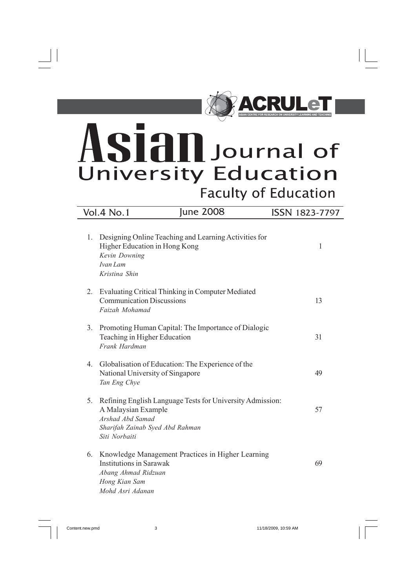

# Journal of **University Education Faculty of Education**

# 1. Designing Online Teaching and Learning Activities for Higher Education in Hong Kong 1 *Kevin Downing Ivan Lam Kristina Shin* 2. Evaluating Critical Thinking in Computer Mediated Communication Discussions 13 *Faizah Mohamad* 3. Promoting Human Capital: The Importance of Dialogic Teaching in Higher Education 31 *Frank Hardman* 4. Globalisation of Education: The Experience of the National University of Singapore 49 *Tan Eng Chye* 5. Refining English Language Tests for University Admission: A Malaysian Example 57 *Arshad Abd Samad Sharifah Zainab Syed Abd Rahman Siti Norbaiti* 6. Knowledge Management Practices in Higher Learning Institutions in Sarawak 69 *Abang Ahmad Ridzuan Hong Kian Sam Mohd Asri Adanan* Vol.4 No.1 June 2008 ISSN 1823-7797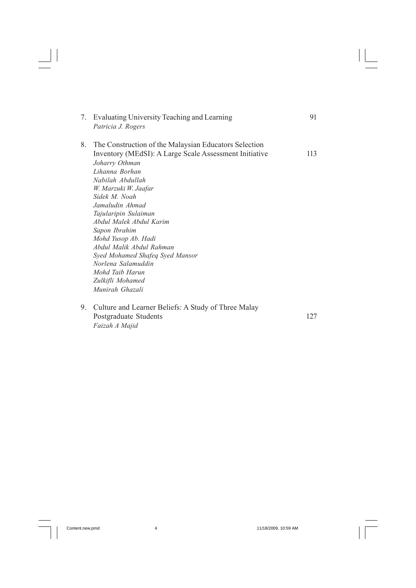| 7. | Evaluating University Teaching and Learning<br>Patricia J. Rogers                                                                                                                                                                                                                                                                                                                                                                                                            | 91  |
|----|------------------------------------------------------------------------------------------------------------------------------------------------------------------------------------------------------------------------------------------------------------------------------------------------------------------------------------------------------------------------------------------------------------------------------------------------------------------------------|-----|
| 8. | The Construction of the Malaysian Educators Selection<br>Inventory (MEdSI): A Large Scale Assessment Initiative<br>Joharry Othman<br>Lihanna Borhan<br>Nabilah Abdullah<br>W. Marzuki W. Jaafar<br>Sidek M Noah<br>Jamaludin Ahmad<br>Tajularipin Sulaiman<br>Abdul Malek Abdul Karim<br>Sapon Ibrahim<br>Mohd Yusop Ab. Hadi<br>Abdul Malik Abdul Rahman<br>Syed Mohamed Shafeq Syed Mansor<br>Norlena Salamuddin<br>Mohd Taib Harun<br>Zulkifli Mohamed<br>Munirah Ghazali | 113 |
| 9. | Culture and Learner Beliefs: A Study of Three Malay                                                                                                                                                                                                                                                                                                                                                                                                                          |     |

Postgraduate Students 127 *Faizah A Majid*

 $\begin{array}{c|c} \hline \hline \hline \hline \end{array}$ 

 $\sqrt{2}$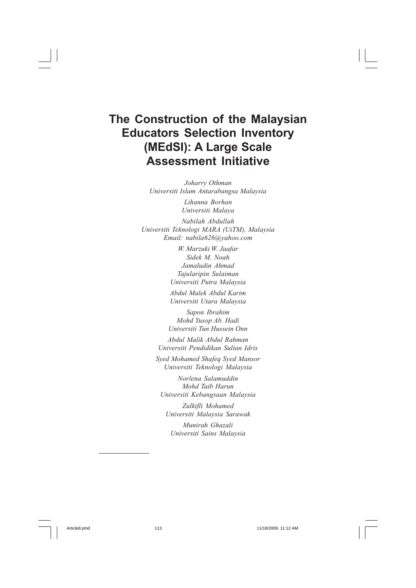# **The Construction of the Malaysian Educators Selection Inventory (MEdSI): A Large Scale Assessment Initiative**

*Joharry Othman Universiti Islam Antarabangsa Malaysia*

> *Lihanna Borhan Universiti Malaya*

*Nabilah Abdullah Universiti Teknologi MARA (UiTM), Malaysia Email: nabila626@yahoo.com*

> *W. Marzuki W. Jaafar Sidek M. Noah Jamaludin Ahmad Tajularipin Sulaiman Universiti Putra Malaysia*

*Abdul Malek Abdul Karim Universiti Utara Malaysia*

*Sapon Ibrahim Mohd Yusop Ab. Hadi Universiti Tun Hussein Onn*

*Abdul Malik Abdul Rahman Universiti Pendidikan Sultan Idris*

*Syed Mohamed Shafeq Syed Mansor Universiti Teknologi Malaysia*

*Norlena Salamuddin Mohd Taib Harun Universiti Kebangsaan Malaysia*

*Zulkifli Mohamed Universiti Malaysia Sarawak*

*Munirah Ghazali Universiti Sains Malaysia*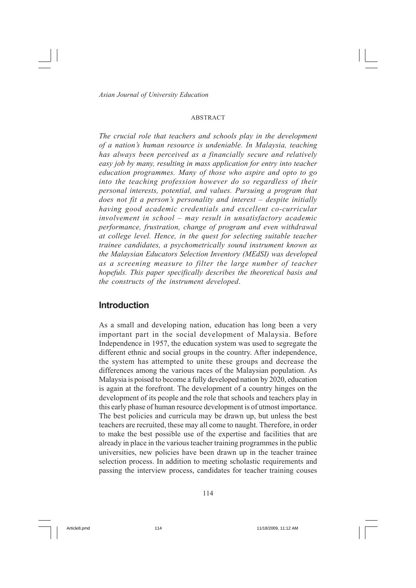#### ABSTRACT

*The crucial role that teachers and schools play in the development of a nation's human resource is undeniable. In Malaysia, teaching has always been perceived as a financially secure and relatively easy job by many, resulting in mass application for entry into teacher education programmes. Many of those who aspire and opto to go into the teaching profession however do so regardless of their personal interests, potential, and values. Pursuing a program that does not fit a person's personality and interest – despite initially having good academic credentials and excellent co-curricular involvement in school – may result in unsatisfactory academic performance, frustration, change of program and even withdrawal at college level. Hence, in the quest for selecting suitable teacher trainee candidates, a psychometrically sound instrument known as the Malaysian Educators Selection Inventory (MEdSI) was developed as a screening measure to filter the large number of teacher hopefuls. This paper specifically describes the theoretical basis and the constructs of the instrument developed*.

#### **Introduction**

As a small and developing nation, education has long been a very important part in the social development of Malaysia. Before Independence in 1957, the education system was used to segregate the different ethnic and social groups in the country. After independence, the system has attempted to unite these groups and decrease the differences among the various races of the Malaysian population. As Malaysia is poised to become a fully developed nation by 2020, education is again at the forefront. The development of a country hinges on the development of its people and the role that schools and teachers play in this early phase of human resource development is of utmost importance. The best policies and curricula may be drawn up, but unless the best teachers are recruited, these may all come to naught. Therefore, in order to make the best possible use of the expertise and facilities that are already in place in the various teacher training programmes in the public universities, new policies have been drawn up in the teacher trainee selection process. In addition to meeting scholastic requirements and passing the interview process, candidates for teacher training couses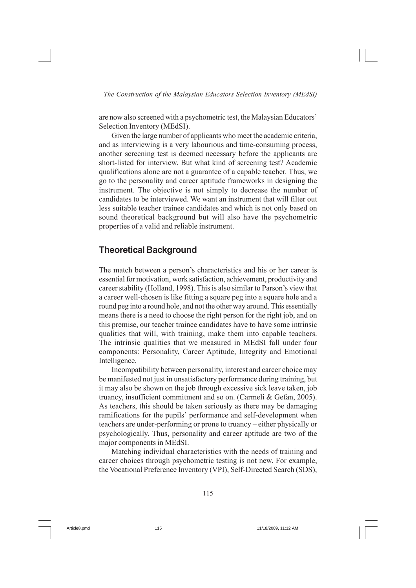are now also screened with a psychometric test, the Malaysian Educators' Selection Inventory (MEdSI).

Given the large number of applicants who meet the academic criteria, and as interviewing is a very labourious and time-consuming process, another screening test is deemed necessary before the applicants are short-listed for interview. But what kind of screening test? Academic qualifications alone are not a guarantee of a capable teacher. Thus, we go to the personality and career aptitude frameworks in designing the instrument. The objective is not simply to decrease the number of candidates to be interviewed. We want an instrument that will filter out less suitable teacher trainee candidates and which is not only based on sound theoretical background but will also have the psychometric properties of a valid and reliable instrument.

#### **Theoretical Background**

The match between a person's characteristics and his or her career is essential for motivation, work satisfaction, achievement, productivity and career stability (Holland, 1998). This is also similar to Parson's view that a career well-chosen is like fitting a square peg into a square hole and a round peg into a round hole, and not the other way around. This essentially means there is a need to choose the right person for the right job, and on this premise, our teacher trainee candidates have to have some intrinsic qualities that will, with training, make them into capable teachers. The intrinsic qualities that we measured in MEdSI fall under four components: Personality, Career Aptitude, Integrity and Emotional Intelligence.

Incompatibility between personality, interest and career choice may be manifested not just in unsatisfactory performance during training, but it may also be shown on the job through excessive sick leave taken, job truancy, insufficient commitment and so on. (Carmeli & Gefan, 2005). As teachers, this should be taken seriously as there may be damaging ramifications for the pupils' performance and self-development when teachers are under-performing or prone to truancy – either physically or psychologically. Thus, personality and career aptitude are two of the major components in MEdSI.

Matching individual characteristics with the needs of training and career choices through psychometric testing is not new. For example, the Vocational Preference Inventory (VPI), Self-Directed Search (SDS),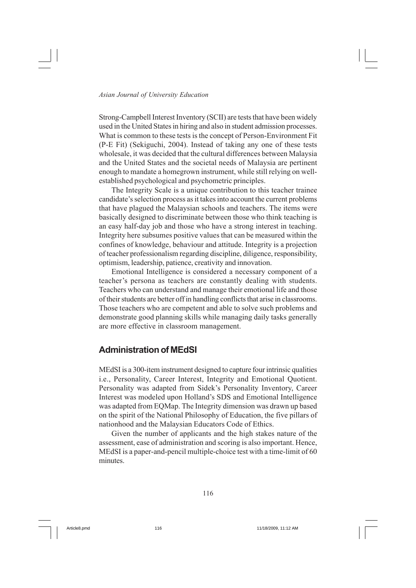Strong-Campbell Interest Inventory (SCII) are tests that have been widely used in the United States in hiring and also in student admission processes. What is common to these tests is the concept of Person-Environment Fit (P-E Fit) (Sekiguchi, 2004). Instead of taking any one of these tests wholesale, it was decided that the cultural differences between Malaysia and the United States and the societal needs of Malaysia are pertinent enough to mandate a homegrown instrument, while still relying on wellestablished psychological and psychometric principles.

The Integrity Scale is a unique contribution to this teacher trainee candidate's selection process as it takes into account the current problems that have plagued the Malaysian schools and teachers. The items were basically designed to discriminate between those who think teaching is an easy half-day job and those who have a strong interest in teaching. Integrity here subsumes positive values that can be measured within the confines of knowledge, behaviour and attitude. Integrity is a projection of teacher professionalism regarding discipline, diligence, responsibility, optimism, leadership, patience, creativity and innovation.

Emotional Intelligence is considered a necessary component of a teacher's persona as teachers are constantly dealing with students. Teachers who can understand and manage their emotional life and those of their students are better off in handling conflicts that arise in classrooms. Those teachers who are competent and able to solve such problems and demonstrate good planning skills while managing daily tasks generally are more effective in classroom management.

#### **Administration of MEdSI**

MEdSI is a 300-item instrument designed to capture four intrinsic qualities i.e., Personality, Career Interest, Integrity and Emotional Quotient. Personality was adapted from Sidek's Personality Inventory, Career Interest was modeled upon Holland's SDS and Emotional Intelligence was adapted from EQMap. The Integrity dimension was drawn up based on the spirit of the National Philosophy of Education, the five pillars of nationhood and the Malaysian Educators Code of Ethics.

Given the number of applicants and the high stakes nature of the assessment, ease of administration and scoring is also important. Hence, MEdSI is a paper-and-pencil multiple-choice test with a time-limit of 60 minutes.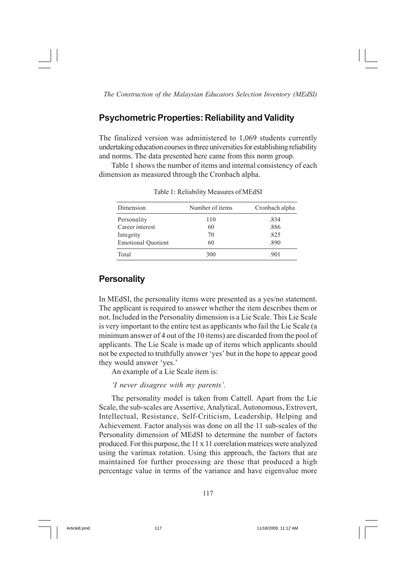#### **Psychometric Properties: Reliability and Validity**

The finalized version was administered to 1,069 students currently undertaking education courses in three universities for establishing reliability and norms. The data presented here came from this norm group.

Table 1 shows the number of items and internal consistency of each dimension as measured through the Cronbach alpha.

| Dimension                 | Number of items | Cronbach alpha |
|---------------------------|-----------------|----------------|
| Personality               | 110             | .834           |
| Career interest           | 60              | .886           |
| Integrity                 | 70              | .825           |
| <b>Emotional Quotient</b> | 60              | .890           |
| Total                     | 300             | .901           |

Table 1: Reliability Measures of MEdSI

#### **Personality**

In MEdSI, the personality items were presented as a yes/no statement. The applicant is required to answer whether the item describes them or not. Included in the Personality dimension is a Lie Scale. This Lie Scale is very important to the entire test as applicants who fail the Lie Scale (a minimum answer of 4 out of the 10 items) are discarded from the pool of applicants. The Lie Scale is made up of items which applicants should not be expected to truthfully answer 'yes' but in the hope to appear good they would answer 'yes.'

An example of a Lie Scale item is:

*'I never disagree with my parents'.*

The personality model is taken from Cattell. Apart from the Lie Scale, the sub-scales are Assertive, Analytical, Autonomous, Extrovert, Intellectual, Resistance, Self-Criticism, Leadership, Helping and Achievement. Factor analysis was done on all the 11 sub-scales of the Personality dimension of MEdSI to determine the number of factors produced. For this purpose, the 11 x 11 correlation matrices were analyzed using the varimax rotation. Using this approach, the factors that are maintained for further processing are those that produced a high percentage value in terms of the variance and have eigenvalue more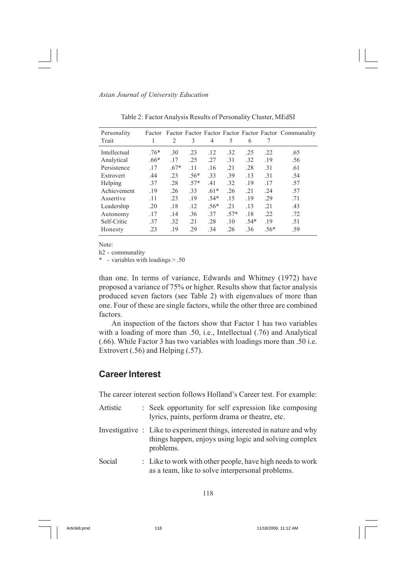| Personality<br>Trait |        | 2      | 3      | 4      | 5      | 6      |            | Factor Factor Factor Factor Factor Factor Factor Communality |
|----------------------|--------|--------|--------|--------|--------|--------|------------|--------------------------------------------------------------|
| Intellectual         | $.76*$ | .30    | .23    | .12    | .32    | .25    | .22        | .65                                                          |
| Analytical           | $.66*$ | .17    | .25    | .27    | .31    | .32    | .19        | .56                                                          |
| Persistence          | .17    | $.67*$ | .11    | .16    | .21    | .28    | .31        | .61                                                          |
| Extrovert            | .44    | .23    | $.56*$ | .33    | .39    | .13    | $\cdot$ 31 | .54                                                          |
| Helping              | .37    | .28    | $.57*$ | .41    | .32    | .19    | .17        | .57                                                          |
| Achievement          | .19    | .26    | 33     | $.61*$ | .26    | .21    | .24        | .57                                                          |
| Assertive            | .11    | $-23$  | .19    | $.54*$ | .15    | .19    | .29        | .71                                                          |
| Leadership           | .20    | .18    | .12    | $.56*$ | .21    | .13    | .21        | .43                                                          |
| Autonomy             | .17    | .14    | .36    | 37     | $.57*$ | .18    | .22        | .72                                                          |
| Self-Critic          | .37    | .32    | .21    | .28    | .10    | $.54*$ | .19        | .51                                                          |
| Honesty              | .23    | .19    | .29    | .34    | .26    | .36    | $.56*$     | .59                                                          |

Table 2: Factor Analysis Results of Personality Cluster, MEdSI

Note:

h2 - communality

\* - variables with loadings > .50

than one. In terms of variance, Edwards and Whitney (1972) have proposed a variance of 75% or higher. Results show that factor analysis produced seven factors (see Table 2) with eigenvalues of more than one. Four of these are single factors, while the other three are combined factors.

An inspection of the factors show that Factor 1 has two variables with a loading of more than .50, i.e., Intellectual (.76) and Analytical (.66). While Factor 3 has two variables with loadings more than .50 i.e. Extrovert (.56) and Helping (.57).

#### **Career Interest**

The career interest section follows Holland's Career test. For example:

| Artistic | : Seek opportunity for self expression like composing<br>lyrics, paints, perform drama or theatre, etc.                                       |
|----------|-----------------------------------------------------------------------------------------------------------------------------------------------|
|          | Investigative : Like to experiment things, interested in nature and why<br>things happen, enjoys using logic and solving complex<br>problems. |
| Social   | : Like to work with other people, have high needs to work<br>as a team, like to solve interpersonal problems.                                 |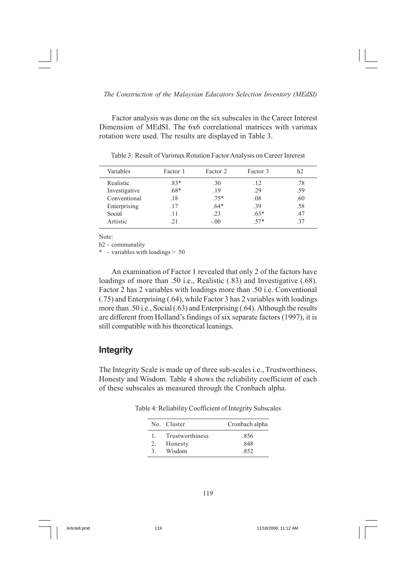Factor analysis was done on the six subscales in the Career Interest Dimension of MEdSI. The 6x6 correlational matrices with varimax rotation were used. The results are displayed in Table 3.

| Variables     | Factor 1 | Factor 2 | Factor 3 | h2  |
|---------------|----------|----------|----------|-----|
| Realistic     | $.83*$   | .30      | .12      | .78 |
| Investigative | .68*     | .19      | .29      | .59 |
| Conventional  | .18      | $.75*$   | .08      | .60 |
| Enterprising  | .17      | $.64*$   | .39      | .58 |
| Social        | .11      | .23      | $.63*$   | .47 |
| Artistic      | 21       | $-.00$   | 57*      | -37 |

Table 3: Result of Varimax Rotation Factor Analysis on Career Interest

Note:

h2 - communality

\* - variables with loadings > .50

An examination of Factor 1 revealed that only 2 of the factors have loadings of more than .50 i.e., Realistic (.83) and Investigative (.68). Factor 2 has 2 variables with loadings more than .50 i.e. Conventional (.75) and Enterprising (.64), while Factor 3 has 2 variables with loadings more than .50 i.e., Social (.63) and Enterprising (.64). Although the results are different from Holland's findings of six separate factors (1997), it is still compatible with his theoretical leanings.

#### **Integrity**

The Integrity Scale is made up of three sub-scales i.e., Trustworthiness, Honesty and Wisdom. Table 4 shows the reliability coefficient of each of these subscales as measured through the Cronbach alpha.

Table 4: Reliability Coefficient of Integrity Subscales

|              | No. Cluster     | Cronbach alpha |
|--------------|-----------------|----------------|
| $\mathbf{1}$ | Trustworthiness | .856           |
| 2.           | Honesty         | .848           |
| 3            | Wisdom          | 852            |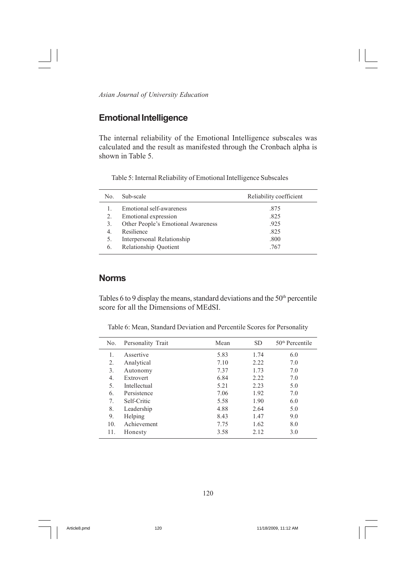## **Emotional Intelligence**

The internal reliability of the Emotional Intelligence subscales was calculated and the result as manifested through the Cronbach alpha is shown in Table 5.

Table 5: Internal Reliability of Emotional Intelligence Subscales

| No. | Sub-scale                          | Reliability coefficient |
|-----|------------------------------------|-------------------------|
| 1.  | Emotional self-awareness           | .875                    |
| 2.  | Emotional expression               | .825                    |
| 3.  | Other People's Emotional Awareness | .925                    |
| 4   | Resilience                         | .825                    |
| 5.  | Interpersonal Relationship         | .800                    |
| 6.  | Relationship Quotient              | .767                    |

#### **Norms**

Tables 6 to 9 display the means, standard deviations and the  $50<sup>th</sup>$  percentile score for all the Dimensions of MEdSI.

Table 6: Mean, Standard Deviation and Percentile Scores for Personality

| No. | Personality Trait | Mean | <b>SD</b> | $50th$ Percentile |
|-----|-------------------|------|-----------|-------------------|
| 1.  | Assertive         | 5.83 | 1.74      | 6.0               |
| 2.  | Analytical        | 7.10 | 2.22      | 7.0               |
| 3.  | Autonomy          | 7.37 | 1.73      | 7.0               |
| 4.  | Extrovert         | 6.84 | 2.22      | 7.0               |
| 5.  | Intellectual      | 5.21 | 2.23      | 5.0               |
| 6.  | Persistence       | 7.06 | 1.92      | 7.0               |
| 7.  | Self-Critic       | 5.58 | 1.90      | 6.0               |
| 8.  | Leadership        | 4.88 | 2.64      | 5.0               |
| 9.  | Helping           | 8.43 | 1.47      | 9.0               |
| 10. | Achievement       | 7.75 | 1.62      | 8.0               |
| 11. | Honesty           | 3.58 | 2.12      | 3.0               |
|     |                   |      |           |                   |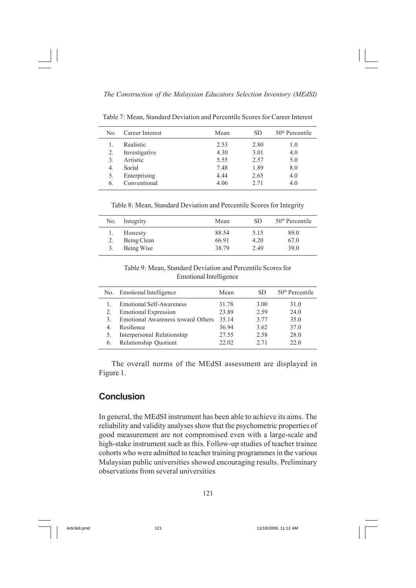Table 7: Mean, Standard Deviation and Percentile Scores for Career Interest

| No. | Career Interest | Mean | SD.  | $50th$ Percentile |
|-----|-----------------|------|------|-------------------|
|     | Realistic       | 2.53 | 2.80 | 1.0               |
| 2.  | Investigative   | 4.30 | 3.01 | 4.0               |
| 3.  | Artistic        | 5.55 | 2.57 | 5.0               |
| 4.  | Social          | 7.48 | 1.89 | 8.0               |
| 5.  | Enterprising    | 4.44 | 2.65 | 4.0               |
| 6.  | Conventional    | 4.06 | 2.71 | 4.0               |

Table 8: Mean, Standard Deviation and Percentile Scores for Integrity

| No. Integrity          | Mean           | SD.          | $50th$ Percentile |
|------------------------|----------------|--------------|-------------------|
| Honesty<br>Being Clean | 88.54<br>66.91 | 5.15<br>4.20 | 89.0<br>67.0      |
| Being Wise             | 38.79          | 2.49         | 39.0              |

Table 9: Mean, Standard Deviation and Percentile Scores for Emotional Intelligence

| No. | <b>Emotional Intelligence</b>     | Mean  | SD.  | $50th$ Percentile |
|-----|-----------------------------------|-------|------|-------------------|
|     | <b>Emotional Self-Awareness</b>   | 31.78 | 3.00 | 31.0              |
|     | <b>Emotional Expression</b>       | 23.89 | 2.59 | 24.0              |
| 3   | Emotional Awareness toward Others | 35 14 | 3.77 | 35.0              |
| 4   | Resilience                        | 36.94 | 3.62 | 37.0              |
|     | Interpersonal Relationship        | 27.55 | 2.58 | 28.0              |
| 6.  | Relationship Quotient             | 22.02 | 2.71 | 22.O              |

The overall norms of the MEdSI assessment are displayed in Figure 1.

### **Conclusion**

In general, the MEdSI instrument has been able to achieve its aims. The reliability and validity analyses show that the psychometric properties of good measurement are not compromised even with a large-scale and high-stake instrument such as this. Follow-up studies of teacher trainee cohorts who were admitted to teacher training programmes in the various Malaysian public universities showed encouraging results. Preliminary observations from several universities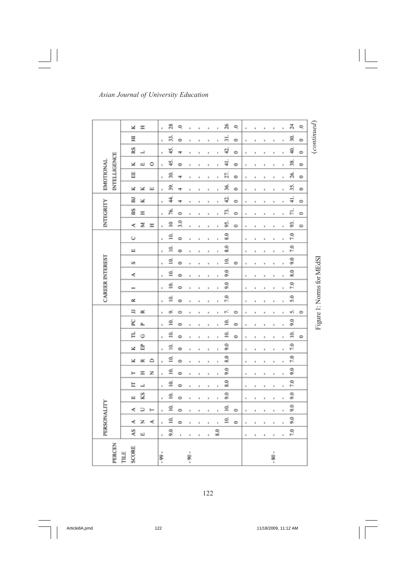|                                  | ×                    | H  |    | ı.      | 28            | ę                    | ä       |                |    | ï   | Å                    | ę             | ı              | ı  |                      | ä       | ï | ¥,                       | ę             |                           |
|----------------------------------|----------------------|----|----|---------|---------------|----------------------|---------|----------------|----|-----|----------------------|---------------|----------------|----|----------------------|---------|---|--------------------------|---------------|---------------------------|
|                                  | Ξ                    |    |    | ŧ       | ź,            | ۰                    | ä       | ×              | k  | ï   | $\frac{1}{5}$        | ۰             | $\blacksquare$ | ı  | ä                    | ×       | ı | S.                       | Ò             | (continued)               |
|                                  | RS                   | Ĥ  |    | ĸ       | Ş             | ÷                    | ä       |                |    | ı   | ą.                   | ÷             | ı              | ٠  | ä                    | ×       | ı | ş                        | 0             |                           |
|                                  | ×                    | щ  | ٥  | ŧ       | 45.           | $\Rightarrow$        | ×       |                | ×  | ı   | $\frac{1}{4}$        | $\Rightarrow$ | ı              | ٠  | ×                    | ×       | ŧ | 3Ś,                      | $\Rightarrow$ |                           |
| <b>INTELLIGENCE</b><br>EMOTIONAL | Н                    |    |    | ŧ       | 30.           | 4                    | ×       |                | ı  | ï   | 27.                  | $\Rightarrow$ | ï              | ٠  | ×                    | ×       | ı | 26.                      | $\Rightarrow$ |                           |
|                                  | ×                    | ×  | ш  | ı       | 39.           | 4                    |         |                |    | ١   | 36.                  | $\Rightarrow$ | ŧ              |    |                      |         | ı | B,                       | $\Rightarrow$ |                           |
|                                  | E                    | ×  |    | ı       | 4             | 4                    | ä       | ä              | k  | ï   | 42,                  | ۰             | ï              | ŧ  | ä                    | ×       | ı | $\frac{1}{4}$            | $\circ$       |                           |
| INTEGRITY                        | BS                   | H  |    | ı       | P6.           | $\circ$              | ä       | ×              | ı. | ï   | ŗ,                   | c             | ı              | ł  | ä                    | ä       | ı | F.                       | $\circ$       |                           |
|                                  | ×,                   | Σ  | H  | ı.      | $\cong$       | 33                   | ä       |                |    | ı   | 95,                  | ۰             | ı              | í, | ü                    | ı       | ı | 93,                      | $\circ$       |                           |
|                                  | Ü                    |    |    | ı       | Ξ,            | $\Rightarrow$        | ı       | ×              | ×  | ı   | 8.0                  |               | ı              | ŧ  | ×                    | ×       | ı | $\tilde{z}$              |               |                           |
|                                  | Щ                    |    |    | ı       | g             | $\Rightarrow$        | ı       | ×              | ĸ  | ï   | 8.0                  |               | ı              | ï  | ×                    | ×       | ı | 7.0                      |               |                           |
|                                  | s                    |    |    | ı       | g             | $\Rightarrow$        | ı       |                |    | ï   | ₫,                   | $\Rightarrow$ | ı              | ۱  | u                    | ×       | ı | $\overline{\mathcal{S}}$ |               |                           |
|                                  | ×,                   |    |    | ı       | g             | $\Rightarrow$        | ٠       | ٠              | ŧ  | ï   | $\tilde{\mathbf{5}}$ |               | ï              | ۱  | ×                    | ×       | ı | 20                       |               |                           |
|                                  | -                    |    |    | ı       | ₫             | o                    | ×       | ä              | ı  | ï   | 50                   |               | ı.             | ı  | ×                    | ×       | ı | $\tilde{z}$              |               |                           |
| <b>CAREER INTEREST</b>           | r.                   |    |    | ŧ       | ₫,            | $\ddot{\phantom{1}}$ | ×       | $\blacksquare$ | ×  | ı   | 7.0                  |               | ı              | ٠  | H                    | ×       | ŧ | 5.0                      |               | Figure 1: Norms for MEdSI |
|                                  | Ξ                    | œ  |    | ı       | o,            | ۰                    | ä       | ä              | k  | ï   | ç.                   | ۰             | ı              | ŧ  | ä                    | ×       | ı | ψŝ                       | $\circ$       |                           |
|                                  | K                    | Δ. |    | ı       | ₫             | $\circ$              | ı       | ×              | ×  | ı   | ₫.                   | Ò             | ı              | ٠  | $\scriptstyle\rm II$ | ×       | ı | $\tilde{\mathbf{S}}$     |               |                           |
|                                  | Ę                    | Ò  |    | ŧ       | ₫,            | $\Rightarrow$        | ä       |                |    | ı   | g                    | $\Rightarrow$ | ı              | ŧ  | ×                    | ×       | ŧ | ₫                        | $\circ$       |                           |
|                                  | ×                    | 嵒  |    | ŧ       | g             | $\Rightarrow$        | ×       | ×              | ×  | ï   | $^{9.0}$             |               | ı              | ٠  | ×                    | ×       | ı | 7.0                      |               |                           |
|                                  | ×                    | œ  | ≏  | ŧ       | Ξ,            | $\Rightarrow$        | ×       | ×              | ٠  | ŧ   | 20                   |               | ,              | ,  | $\,$                 | ×       | ı | $\tilde{r}$              |               |                           |
|                                  |                      | Ξ  | z  | ı       | ₫,            | $\Rightarrow$        |         |                |    | ï   | $\tilde{9.0}$        |               |                |    |                      |         | ı | $\tilde{\mathcal{S}}$    |               |                           |
|                                  | E                    | Д  |    | ı       | ₫             | $\Rightarrow$        | ı       | ×              | ×  | ï   | $\tilde{8.0}$        |               | ï              | ۱  | ä                    | ×       | ı | 7.0                      |               |                           |
|                                  | Щ                    | KS |    | ı       | ₫             | $\circ$              | ä       | ä              | ı  | ï   | $\tilde{9.0}$        |               | ı              | ı  | ×                    | ×       | ı | $\tilde{9.0}$            |               |                           |
|                                  | ×,                   | ۵  | ⊢  | ı.      | ≦.            | $\circ$              | ä       | ä              | k  | ï   | ₫                    | $\circ$       | ı              | ï  | ä                    | k       | ı | 93                       |               |                           |
| PERSONALITY                      | ⊀                    | z  | ×, | ı       | ₫             | $\ddot{\phantom{1}}$ | ı       | ×              | ×  | ı   | ₫,                   | 0             | ı              | ٠  | ×                    | ×       | ı | $\tilde{6}$              |               |                           |
|                                  | ٩S                   | Щ  |    | ŧ       | $\frac{6}{2}$ | ı                    | $\,$    | ×              | k  | 8.0 |                      |               | $\mathbf I$    | ٠  | $\,$                 | ĸ       | ı | 7.0                      |               |                           |
| PERCEN                           | <b>SCORE</b><br>TILE |    |    | $-99 -$ |               |                      | $-90 -$ |                |    |     |                      |               |                |    |                      | $-80 -$ |   |                          |               |                           |

 $\begin{array}{c|c} \hline \hline \end{array}$ 

122

 $\sqrt{1}$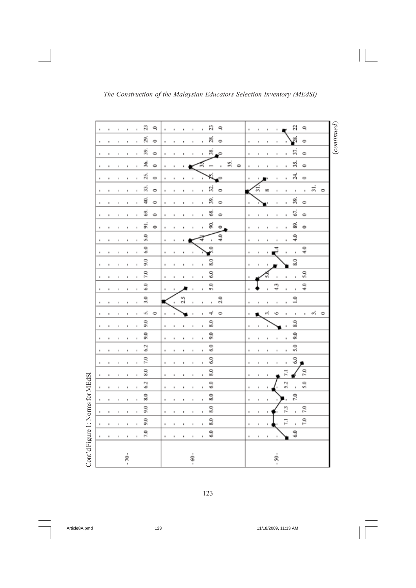| g<br>n<br>ę<br>a<br>ę<br>ę<br>ı<br>×<br>ŧ<br>ï<br>٠<br>g<br>g,<br>S,<br>$\Rightarrow$<br>$\Rightarrow$<br>$\Rightarrow$<br>ı<br>ı<br>ï<br>×<br>ı<br>×<br>57.<br>39,<br>38,<br>۰<br>¢<br>¢<br>ı<br>ł.<br>ł<br>ı<br>٠<br>٠<br>٠<br>٠<br>٠<br>٠<br>×<br>36.<br>35.<br>5Ś,<br>۰<br>۰<br>۰<br>٠<br>ä<br>ä<br>ă,<br>z,<br>۰<br>ı<br>۰<br>ï<br>ä<br>ï<br>ä<br>S,<br>$\vec{a}$<br>Ľ,<br>$\circ$<br>O<br>o<br>90<br>ı.<br>ı<br>ı<br>×<br>ı<br>ä<br>ı<br>ı<br>S,<br>ş<br>B,<br>¢<br>$\ddot{\phantom{1}}$<br>$\ddot{\phantom{1}}$<br>ı<br>ï<br>×<br>×<br>H<br>ï<br>ł<br>×<br>٠<br>$\,$<br>۱<br>67.<br>S,<br>Ś<br>$\Rightarrow$<br>$\Rightarrow$<br>$\Rightarrow$<br>,<br>ı.<br>×<br>ı<br>٠<br>×<br>ł<br>×<br>$\,$<br>١<br>5Ì<br>g<br>89.<br>¢<br>$\Rightarrow$<br>$\Rightarrow$<br>ı<br>ï<br>ä<br>ı<br>×<br>×<br>٠<br>٠<br>٠<br>5.0<br>ş<br>$\frac{6}{4}$<br>ł,<br>ï<br>×<br>ï<br>٠<br>ä<br>×<br>ı<br>٠<br>ï<br>٠<br>5.0<br>Ã<br>$\frac{0}{4}$<br>ĭ.<br>ı<br>×<br>×<br>×<br>×<br>ï<br>ä<br>ï<br>×<br>٠<br>9.0<br>3.0<br>8.0<br>ï<br>ı<br>ï<br>ä<br>×<br>ï<br>7.0<br>9<br>S<br>ı.<br>ï<br>٠<br>×<br>ı<br>ä<br>٠<br>ı<br>ï<br>$\frac{6}{6}$<br>5.0<br>្នុ<br>្នុ<br>k<br>×<br>ä<br>ï<br>ł<br>ı<br>×<br>ï<br>٠<br>3,0<br>2.0<br>$\frac{0}{1}$<br>$\frac{2.5}{2}$<br>ï<br>٠<br>νĵ.<br>$\Rightarrow$<br>$\Rightarrow$<br>0<br>÷<br>m<br>×<br>ı<br>×<br>ï<br>ı.<br>ı<br>×<br>×<br>×<br>$\overline{9.0}$<br>5,0<br>$\frac{8.0}{2}$<br>١<br>ł.<br>×<br>١<br>ı<br>١<br>ŧ<br>×<br>9.0<br>9.0<br>$\frac{6}{20}$<br>٠<br>ï<br>ı<br>×<br>ı<br>۱<br>6.2<br>5.0<br>5.0<br>×<br>ł<br>ï<br>ï<br>ï<br>٠<br>×<br>ı<br>٠<br>٠<br>۱<br>٠<br>٠<br>6.0<br>7.0<br>6.0<br>ı<br>ï<br>×<br>ï<br>ï<br>ï<br>ä<br>3.9<br>8.0<br>20<br>E<br>ï<br>ı<br>ł<br>ı<br>ı<br>×<br>f,<br>$\mathbf{I}$<br>I.<br>5.2<br>62<br>$\overline{6.0}$<br>\$.0<br>ı,<br>$\scriptstyle\rm s$<br>ı<br>ı<br>ı<br>ı<br>ı<br>$\mathsf{I}\hspace{-1.5pt}\mathsf{I}$<br>ı<br>×<br>ı<br>ä<br>7.0<br>5,0<br>5,0<br>ï<br>٠<br>ï<br>ı<br>×<br>$\,$<br>ï<br>×<br>ï<br>٠<br>ŧ<br>$\mathbf{I}$<br>9.0<br>8.0<br>73<br>7.0<br>ï<br>٠<br>×<br>ï<br>ł.<br>ï<br>ı<br>×<br>ı<br>٠<br>$\frac{1}{2}$<br>$\frac{6}{20}$<br>5,0<br>E<br>ı.<br>٠<br>ı<br>ı<br>ŧ<br>٠<br>ï<br>۱<br>7.0<br>5.0<br>$\tilde{c}$<br>ï<br>í,<br>ï<br>٠<br>٠<br>ı<br>f,<br>ı<br>í,<br>ł,<br>×<br>ï<br>× | Cont'd Figure 1: Norms for MEdSI<br>×. | ٠ | ٠ | ٠ | ٠ | × | ä, |  |  | × |  |  |  |  |  |  | ٠ |
|---------------------------------------------------------------------------------------------------------------------------------------------------------------------------------------------------------------------------------------------------------------------------------------------------------------------------------------------------------------------------------------------------------------------------------------------------------------------------------------------------------------------------------------------------------------------------------------------------------------------------------------------------------------------------------------------------------------------------------------------------------------------------------------------------------------------------------------------------------------------------------------------------------------------------------------------------------------------------------------------------------------------------------------------------------------------------------------------------------------------------------------------------------------------------------------------------------------------------------------------------------------------------------------------------------------------------------------------------------------------------------------------------------------------------------------------------------------------------------------------------------------------------------------------------------------------------------------------------------------------------------------------------------------------------------------------------------------------------------------------------------------------------------------------------------------------------------------------------------------------------------------------------------------------------------------------------------------------------------------------------------------------------------------------------------------------------------------------------------------------------------------------------------------------------------------------------------------------------------------------------------------------------------------------|----------------------------------------|---|---|---|---|---|----|--|--|---|--|--|--|--|--|--|---|
|                                                                                                                                                                                                                                                                                                                                                                                                                                                                                                                                                                                                                                                                                                                                                                                                                                                                                                                                                                                                                                                                                                                                                                                                                                                                                                                                                                                                                                                                                                                                                                                                                                                                                                                                                                                                                                                                                                                                                                                                                                                                                                                                                                                                                                                                                             |                                        |   |   |   |   |   |    |  |  |   |  |  |  |  |  |  |   |
|                                                                                                                                                                                                                                                                                                                                                                                                                                                                                                                                                                                                                                                                                                                                                                                                                                                                                                                                                                                                                                                                                                                                                                                                                                                                                                                                                                                                                                                                                                                                                                                                                                                                                                                                                                                                                                                                                                                                                                                                                                                                                                                                                                                                                                                                                             |                                        |   |   |   |   |   |    |  |  |   |  |  |  |  |  |  |   |
|                                                                                                                                                                                                                                                                                                                                                                                                                                                                                                                                                                                                                                                                                                                                                                                                                                                                                                                                                                                                                                                                                                                                                                                                                                                                                                                                                                                                                                                                                                                                                                                                                                                                                                                                                                                                                                                                                                                                                                                                                                                                                                                                                                                                                                                                                             |                                        |   |   |   |   |   |    |  |  |   |  |  |  |  |  |  |   |
|                                                                                                                                                                                                                                                                                                                                                                                                                                                                                                                                                                                                                                                                                                                                                                                                                                                                                                                                                                                                                                                                                                                                                                                                                                                                                                                                                                                                                                                                                                                                                                                                                                                                                                                                                                                                                                                                                                                                                                                                                                                                                                                                                                                                                                                                                             |                                        |   |   |   |   |   |    |  |  |   |  |  |  |  |  |  |   |
|                                                                                                                                                                                                                                                                                                                                                                                                                                                                                                                                                                                                                                                                                                                                                                                                                                                                                                                                                                                                                                                                                                                                                                                                                                                                                                                                                                                                                                                                                                                                                                                                                                                                                                                                                                                                                                                                                                                                                                                                                                                                                                                                                                                                                                                                                             |                                        |   |   |   |   |   |    |  |  |   |  |  |  |  |  |  |   |
|                                                                                                                                                                                                                                                                                                                                                                                                                                                                                                                                                                                                                                                                                                                                                                                                                                                                                                                                                                                                                                                                                                                                                                                                                                                                                                                                                                                                                                                                                                                                                                                                                                                                                                                                                                                                                                                                                                                                                                                                                                                                                                                                                                                                                                                                                             |                                        |   |   |   |   |   |    |  |  |   |  |  |  |  |  |  |   |
|                                                                                                                                                                                                                                                                                                                                                                                                                                                                                                                                                                                                                                                                                                                                                                                                                                                                                                                                                                                                                                                                                                                                                                                                                                                                                                                                                                                                                                                                                                                                                                                                                                                                                                                                                                                                                                                                                                                                                                                                                                                                                                                                                                                                                                                                                             |                                        |   |   |   |   |   |    |  |  |   |  |  |  |  |  |  |   |
|                                                                                                                                                                                                                                                                                                                                                                                                                                                                                                                                                                                                                                                                                                                                                                                                                                                                                                                                                                                                                                                                                                                                                                                                                                                                                                                                                                                                                                                                                                                                                                                                                                                                                                                                                                                                                                                                                                                                                                                                                                                                                                                                                                                                                                                                                             |                                        |   |   |   |   |   |    |  |  |   |  |  |  |  |  |  |   |
|                                                                                                                                                                                                                                                                                                                                                                                                                                                                                                                                                                                                                                                                                                                                                                                                                                                                                                                                                                                                                                                                                                                                                                                                                                                                                                                                                                                                                                                                                                                                                                                                                                                                                                                                                                                                                                                                                                                                                                                                                                                                                                                                                                                                                                                                                             |                                        |   |   |   |   |   |    |  |  |   |  |  |  |  |  |  |   |
|                                                                                                                                                                                                                                                                                                                                                                                                                                                                                                                                                                                                                                                                                                                                                                                                                                                                                                                                                                                                                                                                                                                                                                                                                                                                                                                                                                                                                                                                                                                                                                                                                                                                                                                                                                                                                                                                                                                                                                                                                                                                                                                                                                                                                                                                                             |                                        |   |   |   |   |   |    |  |  |   |  |  |  |  |  |  |   |
|                                                                                                                                                                                                                                                                                                                                                                                                                                                                                                                                                                                                                                                                                                                                                                                                                                                                                                                                                                                                                                                                                                                                                                                                                                                                                                                                                                                                                                                                                                                                                                                                                                                                                                                                                                                                                                                                                                                                                                                                                                                                                                                                                                                                                                                                                             |                                        |   |   |   |   |   |    |  |  |   |  |  |  |  |  |  |   |
|                                                                                                                                                                                                                                                                                                                                                                                                                                                                                                                                                                                                                                                                                                                                                                                                                                                                                                                                                                                                                                                                                                                                                                                                                                                                                                                                                                                                                                                                                                                                                                                                                                                                                                                                                                                                                                                                                                                                                                                                                                                                                                                                                                                                                                                                                             |                                        |   |   |   |   |   |    |  |  |   |  |  |  |  |  |  |   |
|                                                                                                                                                                                                                                                                                                                                                                                                                                                                                                                                                                                                                                                                                                                                                                                                                                                                                                                                                                                                                                                                                                                                                                                                                                                                                                                                                                                                                                                                                                                                                                                                                                                                                                                                                                                                                                                                                                                                                                                                                                                                                                                                                                                                                                                                                             |                                        |   |   |   |   |   |    |  |  |   |  |  |  |  |  |  |   |
|                                                                                                                                                                                                                                                                                                                                                                                                                                                                                                                                                                                                                                                                                                                                                                                                                                                                                                                                                                                                                                                                                                                                                                                                                                                                                                                                                                                                                                                                                                                                                                                                                                                                                                                                                                                                                                                                                                                                                                                                                                                                                                                                                                                                                                                                                             |                                        |   |   |   |   |   |    |  |  |   |  |  |  |  |  |  |   |
|                                                                                                                                                                                                                                                                                                                                                                                                                                                                                                                                                                                                                                                                                                                                                                                                                                                                                                                                                                                                                                                                                                                                                                                                                                                                                                                                                                                                                                                                                                                                                                                                                                                                                                                                                                                                                                                                                                                                                                                                                                                                                                                                                                                                                                                                                             |                                        |   |   |   |   |   |    |  |  |   |  |  |  |  |  |  |   |
|                                                                                                                                                                                                                                                                                                                                                                                                                                                                                                                                                                                                                                                                                                                                                                                                                                                                                                                                                                                                                                                                                                                                                                                                                                                                                                                                                                                                                                                                                                                                                                                                                                                                                                                                                                                                                                                                                                                                                                                                                                                                                                                                                                                                                                                                                             |                                        |   |   |   |   |   |    |  |  |   |  |  |  |  |  |  |   |
|                                                                                                                                                                                                                                                                                                                                                                                                                                                                                                                                                                                                                                                                                                                                                                                                                                                                                                                                                                                                                                                                                                                                                                                                                                                                                                                                                                                                                                                                                                                                                                                                                                                                                                                                                                                                                                                                                                                                                                                                                                                                                                                                                                                                                                                                                             |                                        |   |   |   |   |   |    |  |  |   |  |  |  |  |  |  |   |
|                                                                                                                                                                                                                                                                                                                                                                                                                                                                                                                                                                                                                                                                                                                                                                                                                                                                                                                                                                                                                                                                                                                                                                                                                                                                                                                                                                                                                                                                                                                                                                                                                                                                                                                                                                                                                                                                                                                                                                                                                                                                                                                                                                                                                                                                                             |                                        |   |   |   |   |   |    |  |  |   |  |  |  |  |  |  |   |
|                                                                                                                                                                                                                                                                                                                                                                                                                                                                                                                                                                                                                                                                                                                                                                                                                                                                                                                                                                                                                                                                                                                                                                                                                                                                                                                                                                                                                                                                                                                                                                                                                                                                                                                                                                                                                                                                                                                                                                                                                                                                                                                                                                                                                                                                                             |                                        |   |   |   |   |   |    |  |  |   |  |  |  |  |  |  |   |
|                                                                                                                                                                                                                                                                                                                                                                                                                                                                                                                                                                                                                                                                                                                                                                                                                                                                                                                                                                                                                                                                                                                                                                                                                                                                                                                                                                                                                                                                                                                                                                                                                                                                                                                                                                                                                                                                                                                                                                                                                                                                                                                                                                                                                                                                                             |                                        |   |   |   |   |   |    |  |  |   |  |  |  |  |  |  |   |
|                                                                                                                                                                                                                                                                                                                                                                                                                                                                                                                                                                                                                                                                                                                                                                                                                                                                                                                                                                                                                                                                                                                                                                                                                                                                                                                                                                                                                                                                                                                                                                                                                                                                                                                                                                                                                                                                                                                                                                                                                                                                                                                                                                                                                                                                                             |                                        |   |   |   |   |   |    |  |  |   |  |  |  |  |  |  |   |
|                                                                                                                                                                                                                                                                                                                                                                                                                                                                                                                                                                                                                                                                                                                                                                                                                                                                                                                                                                                                                                                                                                                                                                                                                                                                                                                                                                                                                                                                                                                                                                                                                                                                                                                                                                                                                                                                                                                                                                                                                                                                                                                                                                                                                                                                                             |                                        |   |   |   |   |   |    |  |  |   |  |  |  |  |  |  |   |
|                                                                                                                                                                                                                                                                                                                                                                                                                                                                                                                                                                                                                                                                                                                                                                                                                                                                                                                                                                                                                                                                                                                                                                                                                                                                                                                                                                                                                                                                                                                                                                                                                                                                                                                                                                                                                                                                                                                                                                                                                                                                                                                                                                                                                                                                                             |                                        |   |   |   |   |   |    |  |  |   |  |  |  |  |  |  |   |
|                                                                                                                                                                                                                                                                                                                                                                                                                                                                                                                                                                                                                                                                                                                                                                                                                                                                                                                                                                                                                                                                                                                                                                                                                                                                                                                                                                                                                                                                                                                                                                                                                                                                                                                                                                                                                                                                                                                                                                                                                                                                                                                                                                                                                                                                                             |                                        |   |   |   |   |   |    |  |  |   |  |  |  |  |  |  |   |

 $\lfloor \ \rfloor$ 

123

 $\Box$ l

Article8A.pmd 123 123 11/18/2009, 11:13 AM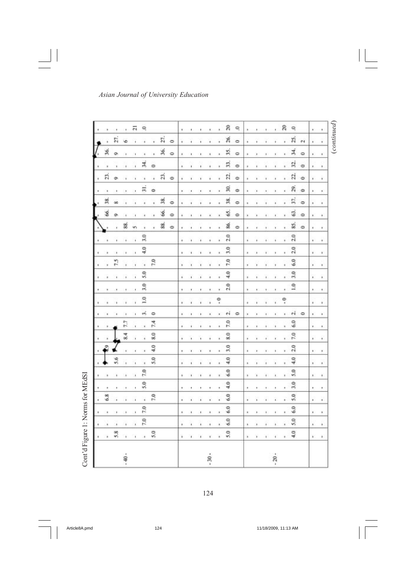| $_{(continued)}$<br>ę<br>$\mathcal{F}_\mathcal{C}$<br>ĸ.     | Ŷ,<br>ă,<br>τü<br>× | ユ<br>$\circ$<br>¥.<br>$\mathbf{r}$ | 32.<br>۰<br>×,<br>¥. | S.<br>ò<br>¥.<br>¥       | gi<br>$\ddot{\phantom{1}}$<br>×<br>×. | 57.<br>۰<br>ä<br>ï | G<br>۰<br>¥<br>٠ | 55<br>۰<br>×<br>¥, | 2.0<br>¥.<br>¥ | 2.0<br>¥<br>¥ | 6.0<br>×<br>۲      | 3.0<br>×<br>¥. | $\frac{1}{2}$<br>ŧ.<br>×, | ×<br>k.          | ei.<br>$\circ$<br>¥<br>× |               | 6.0<br>×<br>¥, | 7.0<br>×.<br>¥. | 2.0<br>¥.<br>×            | $\frac{3}{4}$<br>×<br>k. | 5.0<br>¥<br>× | 3.0<br>Đ.<br>٠ | 5.0<br>ä,<br>¥. | 6.0<br>¥.<br>×           | 5.0<br>¥.<br>٠           |
|--------------------------------------------------------------|---------------------|------------------------------------|----------------------|--------------------------|---------------------------------------|--------------------|------------------|--------------------|----------------|---------------|--------------------|----------------|---------------------------|------------------|--------------------------|---------------|----------------|-----------------|---------------------------|--------------------------|---------------|----------------|-----------------|--------------------------|--------------------------|
| និ                                                           | a.                  | ×.                                 | ï                    | ¥                        | ċ.                                    | ä                  | ٠                | ï.                 | ï              | $\ast$        | ¥,                 | ¥              | ٠                         | ę                |                          | ×             | ¥.             | ¥.              | ¥                         | ì.                       | ٠             | ٠              | ×               | $\bullet$                | $^{4.0}$<br>$\bullet$    |
| ×,                                                           |                     | ï                                  | ï                    | $\ddot{\phantom{0}}$     | ٠                                     | i.                 | ï                | ٠                  | í              | ٠             | $\bullet$          | ï              | ٠                         | ï                | ï                        | ¥.            | ¥              | ٠               | ٠                         | ı,                       | ٠             | ٠              | ï               | $\pmb{i}$                | $\bullet$                |
| t.                                                           |                     | ٠                                  | ŧ                    |                          | ١                                     |                    |                  | ٠                  | ï              |               | ٠                  | ¥              | ٠                         | Ŷ.               |                          | i.            | ï              | ٠               | ı                         | ٠                        | ٠             | ١              | ¥               | ï                        | ł.                       |
| ×.                                                           |                     | ٠                                  | ŧ                    | ٠                        | ٠                                     |                    |                  | ٠                  | ٠              | ٠             | ٠                  | ٠              |                           | ¥.               |                          | ¥.            | ï              | ٠               | k                         | ٠                        | ٠             | ٠              | k.              | ٠                        | $\ast$                   |
| k.                                                           | ×.                  | ×                                  | ×                    | ĸ                        | ٠                                     | ù.                 | k                | ŧ                  | ×.             | ٠             | ۲                  | ٠              | ×                         | ×                | k                        | ×             | ×              | ×               | $\boldsymbol{\kappa}$     | k                        | ٠             | $\mu$          | i.              | k                        | $\mathbf{h}$             |
| ۹                                                            | ۰                   | $\circ$                            | ۰                    | $\ddot{\phantom{0}}$     | $\Rightarrow$                         | ۰                  | ۰                | ۰                  |                |               |                    |                |                           |                  | ۰                        |               |                |                 |                           |                          |               |                |                 |                          |                          |
| g                                                            | á                   | 35.                                | F)                   | 22.                      | F.                                    | R,                 | S.               | S                  | 2.0            | 3.0           | 7.0                | $^{4.0}$       | $^{2.0}$                  |                  | еi                       | 7.0           | 8.0            | 3.0             | Ş                         | 6.0                      | $\frac{6}{4}$ | 6.0            | 6.0             | 6.0                      | 5.0                      |
| ×,                                                           | ¥                   | ï                                  | x                    | ï                        | ×,                                    | ï                  | ï                | ä,                 | ï              | ¥             | ×,                 | ï              | ×                         | ę                | ×,                       | ×             | ï              | ¥               | ï                         | ¥                        | ł.            | ï              | ×               | ×                        | $\overline{\phantom{a}}$ |
| X.                                                           | ×                   | ï                                  | ł                    | ¥                        | ×                                     | ×                  | ï                | ٠                  | ï              | ¥.            | ¥                  | ä,             | ×,                        | $\ast$           | $\bullet$                | ٠             | ٠              | ٠               | ×                         | ٠                        | ٠             | $\theta$       | ¥               | ٠                        | $\epsilon$               |
| ٠                                                            | ï                   | ٠                                  | ï                    | ł                        | ï                                     |                    |                  | ٠                  | ï              | ï             | ۲                  | ï              | ï                         | ï                | ï                        | ł,            | ï              | ١               | i.                        | ٠                        | ٠             | ï              | ï               | ï                        | ٠                        |
| Ŷ.                                                           |                     | ٠                                  |                      | ï                        | $\,$                                  |                    |                  | ٠                  | ï              | ٠             | ٠                  | ï              | ٠                         | ¥                |                          | Ŷ.            | ٠              | ٠               | ×                         | ٠                        | ٠             | ٠              | ¥               | ٠                        | э.                       |
| ٠.                                                           | ¥                   | ×                                  | k                    | ı.                       | ĸ                                     |                    | ×.               | ٠                  | ¥              | ٠             | ٠                  | ×              |                           | ٠                |                          | ٠             | ×.             | ۲               | ĸ                         | k.                       | ٠             | ٠              | r.              | ŧ.                       | ¥                        |
|                                                              | $\circ$             | $\circ$                            |                      | $\ddot{\phantom{0}}$     |                                       | ۰                  | $\circ$          | ۰                  |                |               |                    |                |                           |                  |                          |               |                |                 |                           |                          |               |                |                 |                          |                          |
|                                                              | r,                  | F6.                                |                      | S.                       |                                       | R                  | \$               | S                  |                |               |                    |                |                           |                  |                          |               |                |                 |                           |                          |               |                |                 |                          |                          |
|                                                              | ï                   | ¥                                  | $\overline{a}$       | $\overline{\phantom{a}}$ | $\Rightarrow$                         |                    | ï                | ٠                  |                |               | 7.0                |                |                           |                  | ۰                        | 7.4           | 8.0            | Ş               | 5.0                       |                          |               | 7.0            |                 |                          | 5.0                      |
| Q                                                            | ×                   | ¥                                  | Х,                   | ٠                        | 5                                     |                    | ٠                | ٠                  | 3.0            | 导             | $\hat{u}$          | 5.0            | 3.0                       | $\overline{1.0}$ | πŝ                       | $\mathcal{R}$ | ¥,             | $\bullet$       | ×                         | 7.0                      | 5.0           | ¥              | 7.0             | 7.0                      | $\lambda$                |
| 급                                                            |                     | ¥                                  | ï                    | ï                        | ¥                                     |                    | ٠                | v.                 | ¥              | $\bullet$     | $\hat{\mathbf{r}}$ | ï              | ×,                        | ï                | ĭ.                       | r.            | Ÿ.             | $\mathbf{r}$    | $\overline{\mathfrak{t}}$ | $\bar{1}$                | ×,            | ï              | Y.              | $\overline{\phantom{a}}$ | $\star$                  |
|                                                              | G                   | ï                                  | ï                    | ï                        | $\,$                                  |                    | ×                | 8                  | ï              | ٠             | ï                  | ï              | í.                        | ł                | ï                        | 7.7           | 8.4            | Y.              | $\overline{\phantom{a}}$  | $\lambda$                | ٠             | ï              | ¥               | $\overline{\phantom{a}}$ | $\hat{\mathbf{r}}$       |
| $\begin{array}{ccccccccc} & 1 & & 1 & & 1 & & 1 \end{array}$ | ŻŤ.                 | ö                                  | ٠                    | ò,                       | ٠                                     | öä                 | ö                | ţ.                 | ï              | ¥             | 7.5                | ï              |                           | Ŷ.               |                          |               |                |                 | 5.6                       | ٠                        | ٠             | ٠              | ¥               | ٠                        | 5.8                      |
|                                                              |                     | 36.                                | ×                    | E,                       | ٠                                     | 38.                | 86.              | ı,                 | ä              |               | ٠                  | ¥              |                           | ×                |                          |               |                | ę               |                           | ٠                        | ٠             | 6.8            | ×               | ä                        | $\blacksquare$           |
|                                                              |                     |                                    |                      |                          |                                       |                    |                  |                    |                |               |                    |                |                           |                  |                          |               |                |                 |                           |                          |               |                |                 |                          |                          |

Cont'd Figure 1: Norms for MEdSI Cont'd Figure 1: Norms for MEdSI

 $\Box$ 

124

Article8A.pmd 124 11/18/2009, 11:13 AM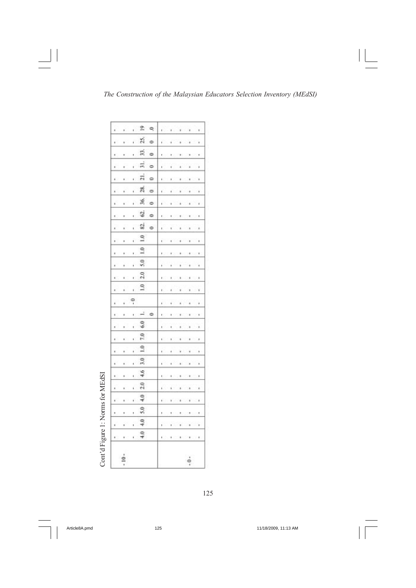| ı<br>u<br>ı<br>×<br>k<br>à.<br>k | í<br>ł<br>í<br>ï<br>ı<br>ï<br>ł<br>i<br>í<br>ł<br>í<br>Ù<br>ł | Z,<br>33.<br>31.<br>$\frac{1}{21}$<br>28.<br>36,<br>G)<br>82.<br>$1.0$ $2.0$ 5.0 1.0 1.0 | š<br>$\Rightarrow$<br>۵<br>۰<br>0<br>ö<br>¢<br>$\Rightarrow$ | ı<br>ï<br>í<br>ł<br>ı<br>ı<br>ł | ٠<br>ł<br>۱ | × |
|----------------------------------|---------------------------------------------------------------|------------------------------------------------------------------------------------------|--------------------------------------------------------------|---------------------------------|-------------|---|
|                                  |                                                               |                                                                                          |                                                              |                                 |             |   |
|                                  |                                                               |                                                                                          |                                                              |                                 |             |   |
|                                  |                                                               |                                                                                          |                                                              |                                 |             |   |
|                                  |                                                               |                                                                                          |                                                              |                                 |             |   |
| ı                                | $\frac{1}{2}$                                                 |                                                                                          |                                                              | k                               |             |   |
|                                  | ł                                                             |                                                                                          | ÷                                                            |                                 |             |   |
|                                  | í                                                             | 6.0                                                                                      |                                                              |                                 |             |   |
|                                  | ť                                                             |                                                                                          |                                                              |                                 |             |   |
|                                  | í                                                             | $4.0$ $  4.0$ $  5.0$ $  4.0$ $  2.0$ $  4.6$ $  3.0$ $  1.0$ $  7.0$                    |                                                              | ł                               |             |   |
| ×                                | í                                                             |                                                                                          |                                                              | í                               |             |   |
|                                  | ł                                                             |                                                                                          |                                                              |                                 |             |   |
|                                  | í                                                             |                                                                                          |                                                              |                                 |             |   |
| k<br>×                           | ï                                                             |                                                                                          |                                                              | ï                               | ï           |   |
|                                  | ,                                                             |                                                                                          |                                                              |                                 |             |   |
| ı                                | ı                                                             |                                                                                          |                                                              | ı                               | ï           |   |
|                                  |                                                               |                                                                                          |                                                              | í                               |             |   |

125